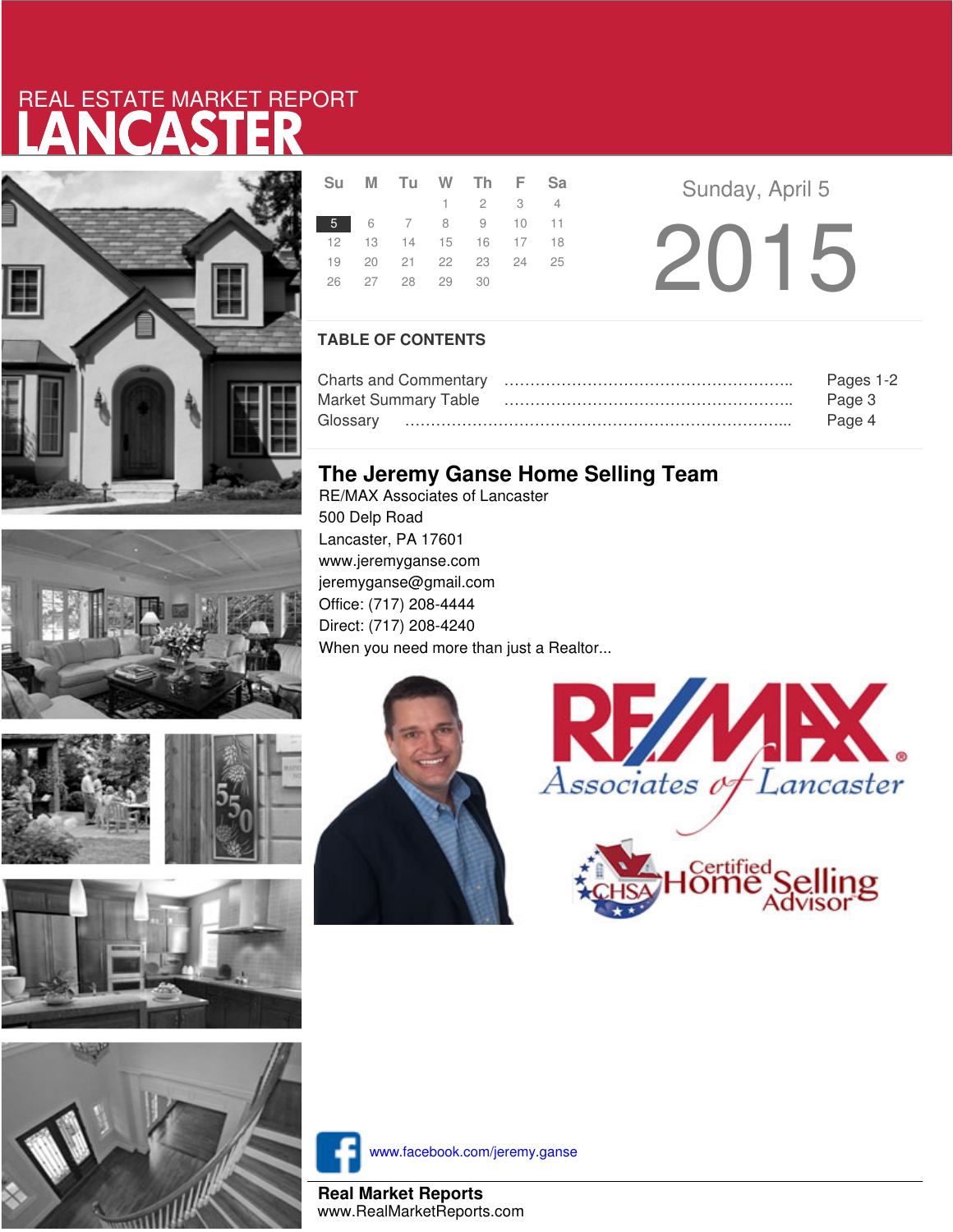# LANCASTER REAL ESTATE MARKET REPORT









|  | Su M Tu W Th F Sa    |                             |  |  |
|--|----------------------|-----------------------------|--|--|
|  |                      | $1 \quad 2 \quad 3 \quad 4$ |  |  |
|  | 5 6 7 8 9 10 11      |                             |  |  |
|  | 12 13 14 15 16 17 18 |                             |  |  |
|  | 19 20 21 22 23 24 25 |                             |  |  |
|  | 26 27 28 29 30       |                             |  |  |
|  |                      |                             |  |  |

**Sunday, April 5** 2015

### **TABLE OF CONTENTS**

|                      | Pages 1-2 |
|----------------------|-----------|
| Market Summary Table | Page 3    |
|                      | Page 4    |

## **The Jeremy Ganse Home Selling Team**

RE/MAX Associates of Lancaster 500 Delp Road Lancaster, PA 17601 www.jeremyganse.com jeremyganse@gmail.com Office: (717) 208-4444 Direct: (717) 208-4240 When you need more than just a Realtor...







www.facebook.com/jeremy.ganse

**Real Market Reports** www.RealMarketReports.com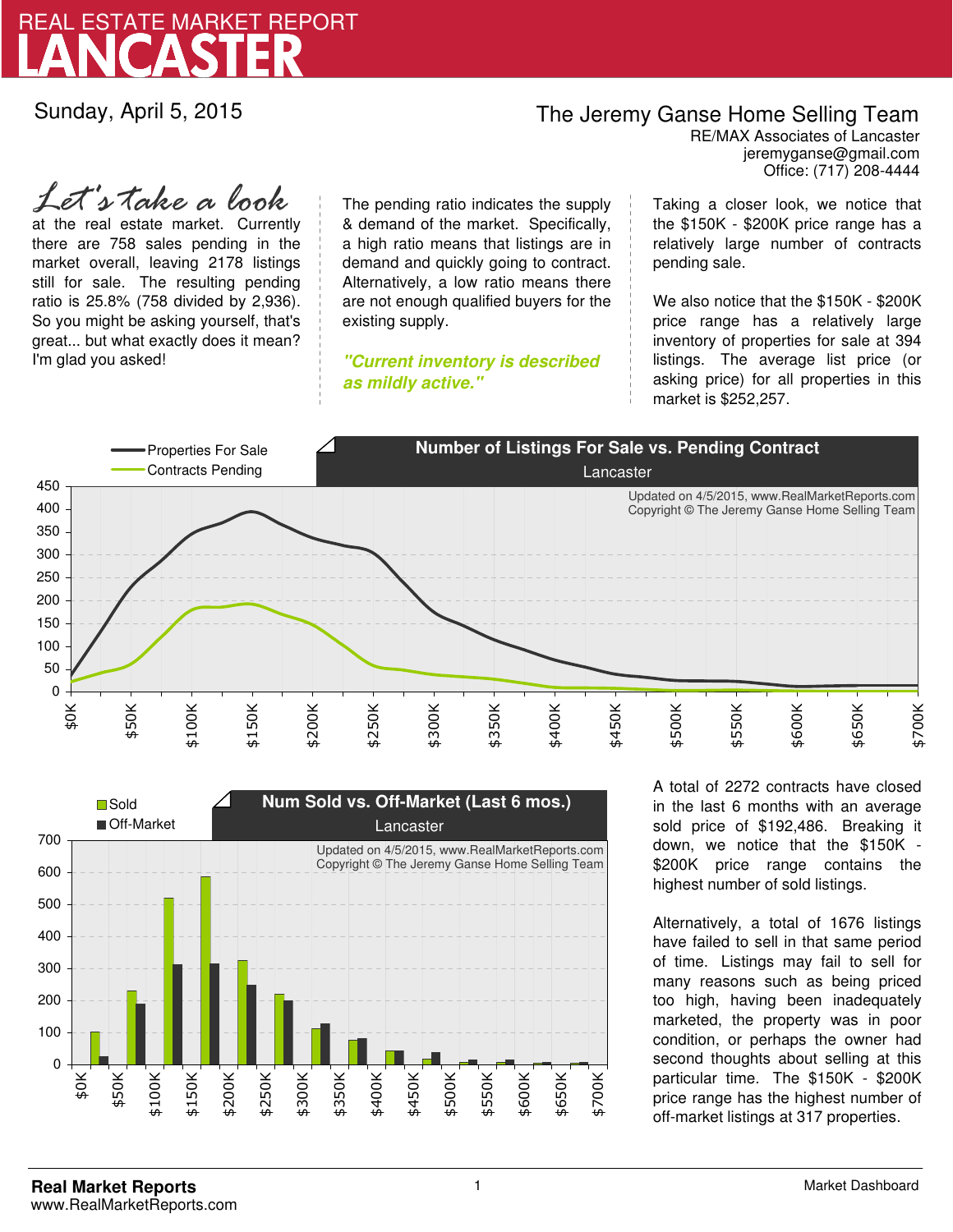

Sunday, April 5, 2015

## The Jeremy Ganse Home Selling Team

jeremyganse@gmail.com RE/MAX Associates of Lancaster Office: (717) 208-4444

at the real estate market. Currently there are 758 sales pending in the market overall, leaving 2178 listings still for sale. The resulting pending ratio is 25.8% (758 divided by 2,936). So you might be asking yourself, that's great... but what exactly does it mean? I'm glad you asked! *Let's take a look*

The pending ratio indicates the supply & demand of the market. Specifically, a high ratio means that listings are in demand and quickly going to contract. Alternatively, a low ratio means there are not enough qualified buyers for the existing supply.

**"Current inventory is described as mildly active."**

Taking a closer look, we notice that the \$150K - \$200K price range has a relatively large number of contracts pending sale.

We also notice that the \$150K - \$200K price range has a relatively large inventory of properties for sale at 394 listings. The average list price (or asking price) for all properties in this market is \$252,257.





A total of 2272 contracts have closed in the last 6 months with an average sold price of \$192,486. Breaking it down, we notice that the \$150K - \$200K price range contains the highest number of sold listings.

Alternatively, a total of 1676 listings have failed to sell in that same period of time. Listings may fail to sell for many reasons such as being priced too high, having been inadequately marketed, the property was in poor condition, or perhaps the owner had second thoughts about selling at this particular time. The \$150K - \$200K price range has the highest number of off-market listings at 317 properties.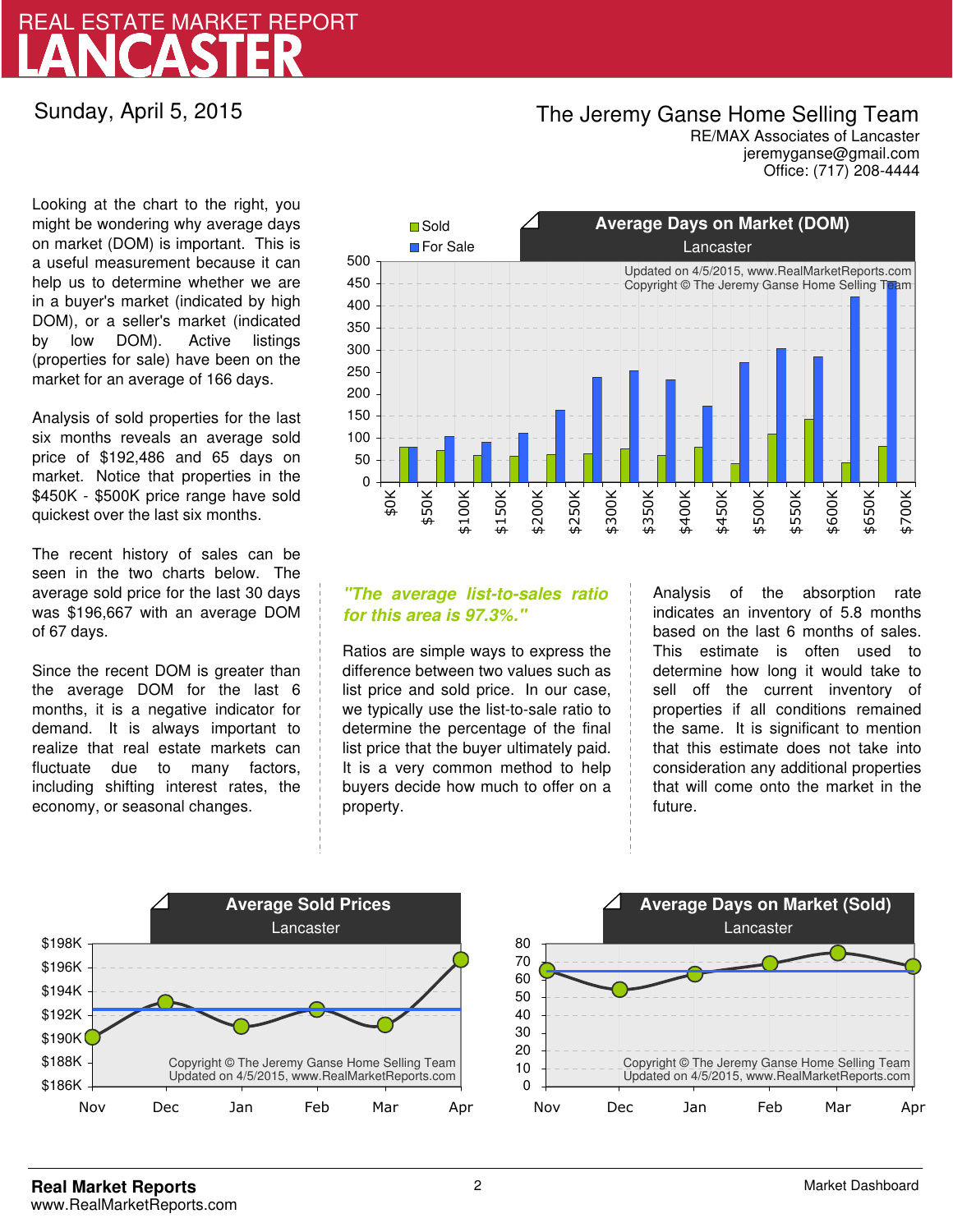# LANCASTER REAL ESTATE MARKET REPORT

Sunday, April 5, 2015

### The Jeremy Ganse Home Selling Team

jeremyganse@gmail.com RE/MAX Associates of Lancaster Office: (717) 208-4444

Looking at the chart to the right, you might be wondering why average days on market (DOM) is important. This is a useful measurement because it can help us to determine whether we are in a buyer's market (indicated by high DOM), or a seller's market (indicated by low DOM). Active listings (properties for sale) have been on the market for an average of 166 days.

Analysis of sold properties for the last six months reveals an average sold price of \$192,486 and 65 days on market. Notice that properties in the \$450K - \$500K price range have sold quickest over the last six months.

The recent history of sales can be seen in the two charts below. The average sold price for the last 30 days was \$196,667 with an average DOM of 67 days.

Since the recent DOM is greater than the average DOM for the last 6 months, it is a negative indicator for demand. It is always important to realize that real estate markets can fluctuate due to many factors, including shifting interest rates, the economy, or seasonal changes.



### **"The average list-to-sales ratio for this area is 97.3%."**

Ratios are simple ways to express the difference between two values such as list price and sold price. In our case, we typically use the list-to-sale ratio to determine the percentage of the final list price that the buyer ultimately paid. It is a very common method to help buyers decide how much to offer on a property.

Analysis of the absorption rate indicates an inventory of 5.8 months based on the last 6 months of sales. This estimate is often used to determine how long it would take to sell off the current inventory of properties if all conditions remained the same. It is significant to mention that this estimate does not take into consideration any additional properties that will come onto the market in the future.



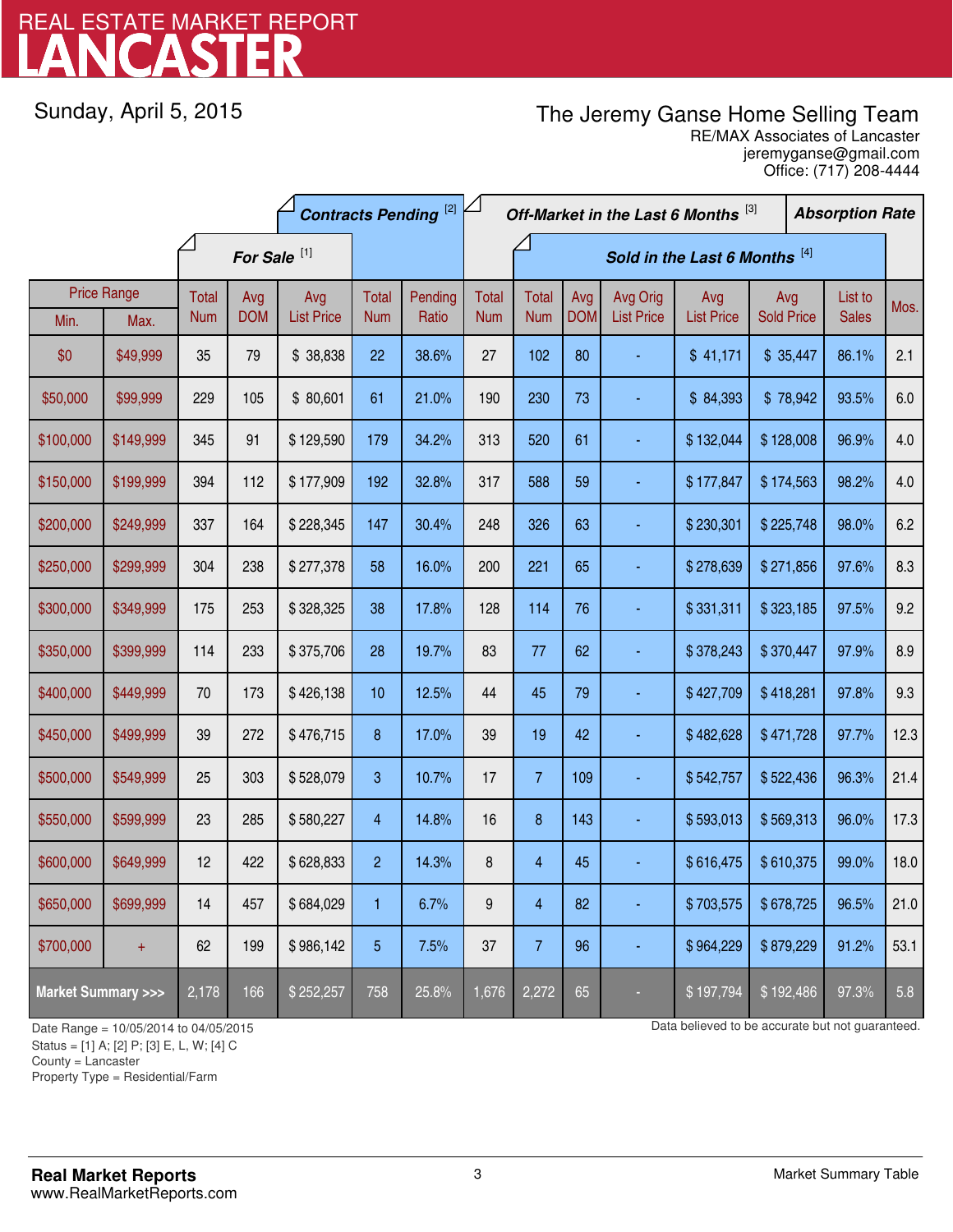# LANCASTER REAL ESTATE MARKET REPORT

Sunday, April 5, 2015

## The Jeremy Ganse Home Selling Team

jeremyganse@gmail.com RE/MAX Associates of Lancaster Office: (717) 208-4444

| <b>Contracts Pending [2]</b>       |                            |                         |                   |                          |                     | Off-Market in the Last 6 Months [3]<br><b>Absorption Rate</b> |                            |                               |                   |                               |                          |                          |  |                         |      |
|------------------------------------|----------------------------|-------------------------|-------------------|--------------------------|---------------------|---------------------------------------------------------------|----------------------------|-------------------------------|-------------------|-------------------------------|--------------------------|--------------------------|--|-------------------------|------|
|                                    |                            | For Sale <sup>[1]</sup> |                   |                          |                     |                                                               |                            | Sold in the Last 6 Months [4] |                   |                               |                          |                          |  |                         |      |
| Min.                               | <b>Price Range</b><br>Max. | Total<br><b>Num</b>     | Avg<br><b>DOM</b> | Avg<br><b>List Price</b> | Total<br><b>Num</b> | Pending<br>Ratio                                              | <b>Total</b><br><b>Num</b> | <b>Total</b><br><b>Num</b>    | Avg<br><b>DOM</b> | Avg Orig<br><b>List Price</b> | Avg<br><b>List Price</b> | Avg<br><b>Sold Price</b> |  | List to<br><b>Sales</b> | Mos. |
| \$0                                | \$49,999                   | 35                      | 79                | \$38,838                 | 22                  | 38.6%                                                         | 27                         | 102                           | 80                |                               | \$41,171                 | \$35,447                 |  | 86.1%                   | 2.1  |
| \$50,000                           | \$99,999                   | 229                     | 105               | \$80,601                 | 61                  | 21.0%                                                         | 190                        | 230                           | 73                |                               | \$84,393                 | \$78,942                 |  | 93.5%                   | 6.0  |
| \$100,000                          | \$149,999                  | 345                     | 91                | \$129,590                | 179                 | 34.2%                                                         | 313                        | 520                           | 61                |                               | \$132,044                | \$128,008                |  | 96.9%                   | 4.0  |
| \$150,000                          | \$199,999                  | 394                     | 112               | \$177,909                | 192                 | 32.8%                                                         | 317                        | 588                           | 59                |                               | \$177,847                | \$174,563                |  | 98.2%                   | 4.0  |
| \$200,000                          | \$249,999                  | 337                     | 164               | \$228,345                | 147                 | 30.4%                                                         | 248                        | 326                           | 63                |                               | \$230,301                | \$225,748                |  | 98.0%                   | 6.2  |
| \$250,000                          | \$299,999                  | 304                     | 238               | \$277,378                | 58                  | 16.0%                                                         | 200                        | 221                           | 65                |                               | \$278,639                | \$271,856                |  | 97.6%                   | 8.3  |
| \$300,000                          | \$349,999                  | 175                     | 253               | \$328,325                | 38                  | 17.8%                                                         | 128                        | 114                           | 76                |                               | \$331,311                | \$323,185                |  | 97.5%                   | 9.2  |
| \$350,000                          | \$399,999                  | 114                     | 233               | \$375,706                | 28                  | 19.7%                                                         | 83                         | 77                            | 62                |                               | \$378,243                | \$370,447                |  | 97.9%                   | 8.9  |
| \$400,000                          | \$449,999                  | 70                      | 173               | \$426,138                | 10                  | 12.5%                                                         | 44                         | 45                            | 79                |                               | \$427,709                | \$418,281                |  | 97.8%                   | 9.3  |
| \$450,000                          | \$499,999                  | 39                      | 272               | \$476,715                | 8                   | 17.0%                                                         | 39                         | 19                            | 42                |                               | \$482,628                | \$471,728                |  | 97.7%                   | 12.3 |
| \$500,000                          | \$549,999                  | 25                      | 303               | \$528,079                | 3                   | 10.7%                                                         | 17                         | $\overline{7}$                | 109               |                               | \$542,757                | \$522,436                |  | 96.3%                   | 21.4 |
| \$550,000                          | \$599,999                  | 23                      | 285               | \$580,227                | 4                   | 14.8%                                                         | 16                         | 8                             | 143               |                               | \$593,013                | \$569,313                |  | 96.0%                   | 17.3 |
| \$600,000                          | \$649,999                  | 12                      | 422               | \$628,833                | $\overline{2}$      | 14.3%                                                         | 8                          | $\overline{4}$                | 45                |                               | \$616,475                | \$610,375                |  | 99.0%                   | 18.0 |
| \$650,000                          | \$699,999                  | 14                      | 457               | \$684,029                | 1                   | 6.7%                                                          | 9                          | 4                             | 82                |                               | \$703,575                | \$678,725                |  | 96.5%                   | 21.0 |
| \$700,000                          | $+$                        | 62                      | 199               | \$986,142                | 5                   | 7.5%                                                          | 37                         | $\overline{7}$                | 96                |                               | \$964,229                | \$879,229                |  | 91.2%                   | 53.1 |
| <b>Market Summary &gt;&gt;&gt;</b> |                            | 2,178                   | 166               | \$252,257                | 758                 | 25.8%                                                         | 1,676                      | 2,272                         | 65                |                               | \$197,794                | \$192,486                |  | 97.3%                   | 5.8  |

Status = [1] A; [2] P; [3] E, L, W; [4] C

County = Lancaster

1

Property Type = Residential/Farm

Date Range = 10/05/2014 to 04/05/2015 Data believed to be accurate but not guaranteed.